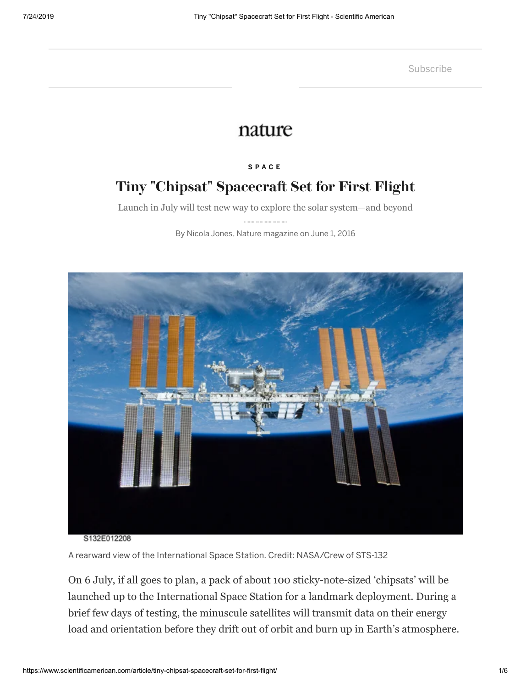**[Subscribe](https://www.scientificamerican.com/store/subscribe/scientific-american-space-physics-magazine/)** 

# nature

#### **S P A [C](https://www.scientificamerican.com/space/) E**

# **Tiny "Chipsat" Spacecra Set for First Flight**

Launch in July will test new way to explore the solar system—and beyond

By [Nicola Jones,](https://www.scientificamerican.com/author/nicola-jones/) [Nature magazine](https://www.scientificamerican.com/author/nature-magazine/) on June 1, 2016



A rearward view of the International Space Station. Credit: [NASA/Crew of STS-132](https://commons.wikimedia.org/wiki/File:International_Space_Station_after_undocking_of_STS-132.jpg)

On 6 July, if all goes to plan, a pack of about 100 sticky-note-sized 'chipsats' will be launched up to the International Space Station for a landmark deployment. During a brief few days of testing, the minuscule satellites will transmit data on their energy load and orientation before they drift out of orbit and burn up in Earth's atmosphere.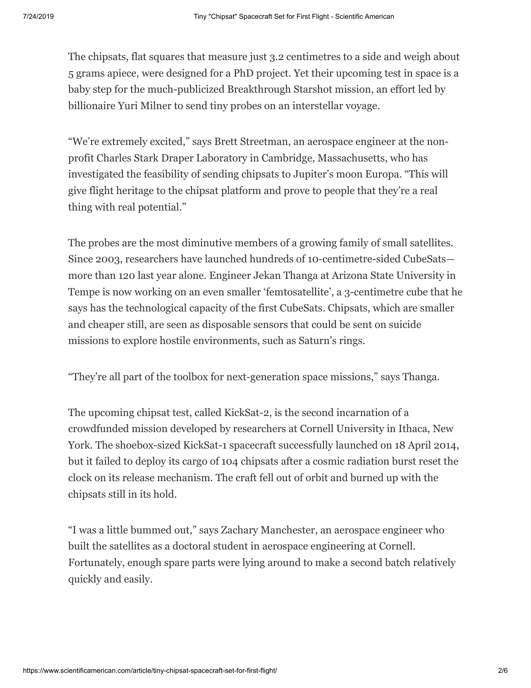The chipsats, flat squares that measure just 3.2 centimetres to a side and weigh about 5 grams apiece, were designed for a PhD project. Yet their upcoming test in space is a baby step for the much-publicized Breakthrough Starshot mission, an effort led by billionaire Yuri Milner to send tiny probes on an interstellar voyage.

"We're extremely excited," says Brett Streetman, an aerospace engineer at the nonprofit Charles Stark Draper Laboratory in Cambridge, Massachusetts, who has investigated the feasibility of sending chipsats to Jupiter's moon Europa. "This will give flight heritage to the chipsat platform and prove to people that they're a real thing with real potential."

The probes are the most diminutive members of a growing family of small satellites. Since 2003, researchers have launched hundreds of 10-centimetre-sided CubeSats more than 120 last year alone. Engineer Jekan Thanga at Arizona State University in Tempe is now working on an even smaller 'femtosatellite', a 3-centimetre cube that he says has the technological capacity of the first CubeSats. Chipsats, which are smaller and cheaper still, are seen as disposable sensors that could be sent on suicide missions to explore hostile environments, such as Saturn's rings.

"They're all part of the toolbox for next-generation space missions," says Thanga.

The upcoming chipsat test, called KickSat-2, is the second incarnation of a crowdfunded mission developed by researchers at Cornell University in Ithaca, New York. The shoebox-sized KickSat-1 spacecraft successfully launched on 18 April 2014, but it failed to deploy its cargo of 104 chipsats after a cosmic radiation burst reset the clock on its release mechanism. The craft fell out of orbit and burned up with the chipsats still in its hold.

"I was a little bummed out," says Zachary Manchester, an aerospace engineer who built the satellites as a doctoral student in aerospace engineering at Cornell. Fortunately, enough spare parts were lying around to make a second batch relatively quickly and easily.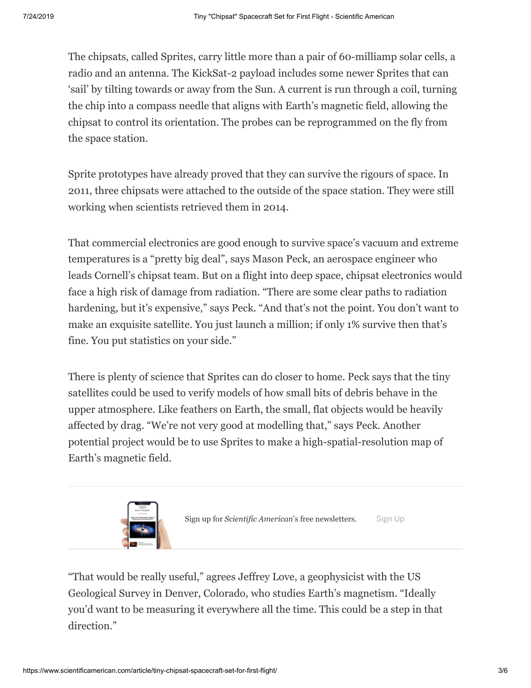The chipsats, called Sprites, carry little more than a pair of 60-milliamp solar cells, a radio and an antenna. The KickSat-2 payload includes some newer Sprites that can 'sail' by tilting towards or away from the Sun. A current is run through a coil, turning the chip into a compass needle that aligns with Earth's magnetic field, allowing the chipsat to control its orientation. The probes can be reprogrammed on the fly from the space station.

Sprite prototypes have already proved that they can survive the rigours of space. In 2011, three chipsats were attached to the outside of the space station. They were still working when scientists retrieved them in 2014.

That commercial electronics are good enough to survive space's vacuum and extreme temperatures is a "pretty big deal", says Mason Peck, an aerospace engineer who leads Cornell's chipsat team. But on a flight into deep space, chipsat electronics would face a high risk of damage from radiation. "There are some clear paths to radiation hardening, but it's expensive," says Peck. "And that's not the point. You don't want to make an exquisite satellite. You just launch a million; if only 1% survive then that's fine. You put statistics on your side."

There is plenty of science that Sprites can do closer to home. Peck says that the tiny satellites could be used to verify models of how small bits of debris behave in the upper atmosphere. Like feathers on Earth, the small, flat objects would be heavily affected by drag. "We're not very good at modelling that," says Peck. Another potential project would be to use Sprites to make a high-spatial-resolution map of Earth's magnetic field.



Sign up for *Scientific American*'s free newsletters. [Sign Up](https://www.scientificamerican.com/page/newsletter-sign-up/?origincode=2018_sciam_ArticlePromo_NewsletterSignUp)

"That would be really useful," agrees Jeffrey Love, a geophysicist with the US Geological Survey in Denver, Colorado, who studies Earth's magnetism. "Ideally you'd want to be measuring it everywhere all the time. This could be a step in that direction."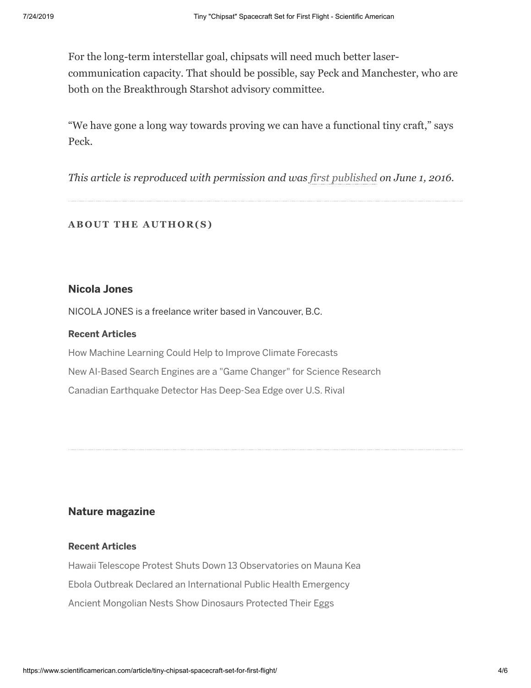For the long-term interstellar goal, chipsats will need much better lasercommunication capacity. That should be possible, say Peck and Manchester, who are both on the Breakthrough Starshot advisory committee.

"We have gone a long way towards proving we can have a functional tiny craft," says Peck.

*This article is reproduced with permission and was [first published](https://www.nature.com/news/tiny-chipsat-spacecraft-set-for-first-flight-1.20006) on June 1, 2016.*

## **AB O U T THE A U THO R(S)**

### **Nicola Jones**

NICOLA JONES is a freelance writer based in Vancouver, B.C.

#### **Recent Articles**

[How Machine Learning Could Help to Improve Climate Forecasts](https://www.scientificamerican.com/article/how-machine-learning-could-help-to-improve-climate-forecasts/) [New AI-Based Search Engines are a "Game Changer" for Science Research](https://www.scientificamerican.com/article/new-ai-based-search-engines-are-a-ldquo-game-changer-rdquo-for-science-research/) [Canadian Earthquake Detector Has Deep-Sea Edge over U.S. Rival](https://www.scientificamerican.com/article/canadian-earthquake-detector-has-deep-sea-edge-over-u-s-rival/)

## **Nature magazine**

#### **Recent Articles**

[Hawaii Telescope Protest Shuts Down 13 Observatories on Mauna Kea](https://www.scientificamerican.com/article/hawaii-telescope-protest-shuts-down-13-observatories-on-mauna-kea1/) [Ebola Outbreak Declared an International Public Health Emergency](https://www.scientificamerican.com/article/ebola-outbreak-declared-an-international-public-health-emergency/) [Ancient Mongolian Nests Show Dinosaurs Protected Their Eggs](https://www.scientificamerican.com/article/ancient-mongolian-nests-show-dinosaurs-protected-their-eggs/)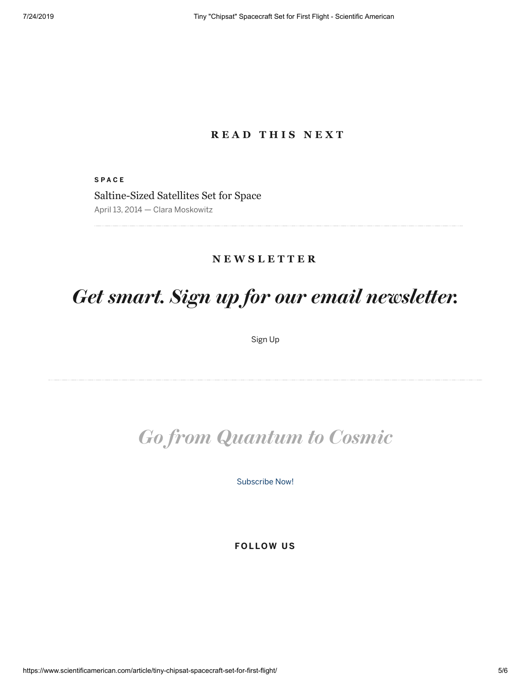# **R E A D T H I S N E X T**

**S P A C E** [Saltine-Sized Satellites Set for Space](https://www.scientificamerican.com/podcast/episode/saltine-sized-satellites-set-for-space1/) April 13, 2014 — Clara Moskowitz

# **N E W S L E T T E R**

# *Get smart. Sign up for our email newsletter.*

[Sign Up](https://www.scientificamerican.com/page/newsletter-sign-up/?origincode=2016_sciam_ArticleFooter_NewsletterSignUp&category=subjects/the-sciences/space)

# *Go from Quantum to Cosmic*

[Subscribe Now!](https://www.scientificamerican.com/store/subscribe/scientific-american-space-physics-magazine/)

**FOL LOW US**